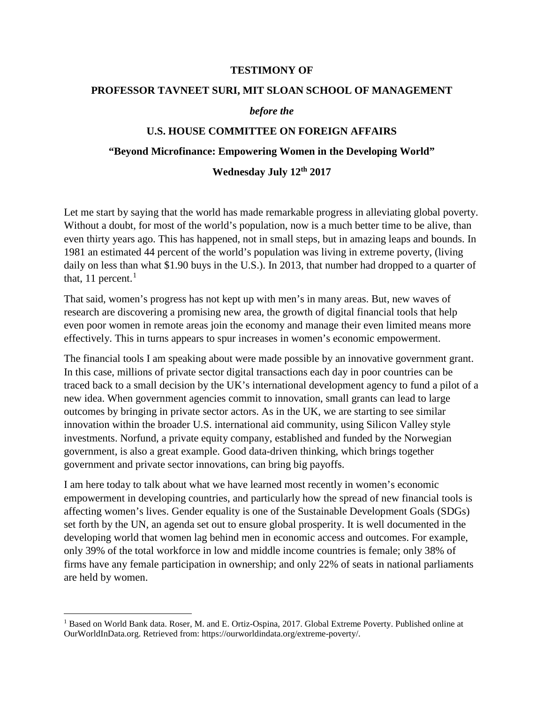#### **TESTIMONY OF**

#### **PROFESSOR TAVNEET SURI, MIT SLOAN SCHOOL OF MANAGEMENT**

#### *before the*

### **U.S. HOUSE COMMITTEE ON FOREIGN AFFAIRS**

#### **"Beyond Microfinance: Empowering Women in the Developing World"**

### **Wednesday July 12th 2017**

Let me start by saying that the world has made remarkable progress in alleviating global poverty. Without a doubt, for most of the world's population, now is a much better time to be alive, than even thirty years ago. This has happened, not in small steps, but in amazing leaps and bounds. In 1981 an estimated 44 percent of the world's population was living in extreme poverty, (living daily on less than what \$1.90 buys in the U.S.). In 2013, that number had dropped to a quarter of that, [1](#page-0-0)1 percent. $<sup>1</sup>$ </sup>

That said, women's progress has not kept up with men's in many areas. But, new waves of research are discovering a promising new area, the growth of digital financial tools that help even poor women in remote areas join the economy and manage their even limited means more effectively. This in turns appears to spur increases in women's economic empowerment.

The financial tools I am speaking about were made possible by an innovative government grant. In this case, millions of private sector digital transactions each day in poor countries can be traced back to a small decision by the UK's international development agency to fund a pilot of a new idea. When government agencies commit to innovation, small grants can lead to large outcomes by bringing in private sector actors. As in the UK, we are starting to see similar innovation within the broader U.S. international aid community, using Silicon Valley style investments. Norfund, a private equity company, established and funded by the Norwegian government, is also a great example. Good data-driven thinking, which brings together government and private sector innovations, can bring big payoffs.

I am here today to talk about what we have learned most recently in women's economic empowerment in developing countries, and particularly how the spread of new financial tools is affecting women's lives. Gender equality is one of the Sustainable Development Goals (SDGs) set forth by the UN, an agenda set out to ensure global prosperity. It is well documented in the developing world that women lag behind men in economic access and outcomes. For example, only 39% of the total workforce in low and middle income countries is female; only 38% of firms have any female participation in ownership; and only 22% of seats in national parliaments are held by women.

<span id="page-0-0"></span><sup>&</sup>lt;sup>1</sup> Based on World Bank data. Roser, M. and E. Ortiz-Ospina, 2017. Global Extreme Poverty. Published online at OurWorldInData.org. Retrieved from: https://ourworldindata.org/extreme-poverty/.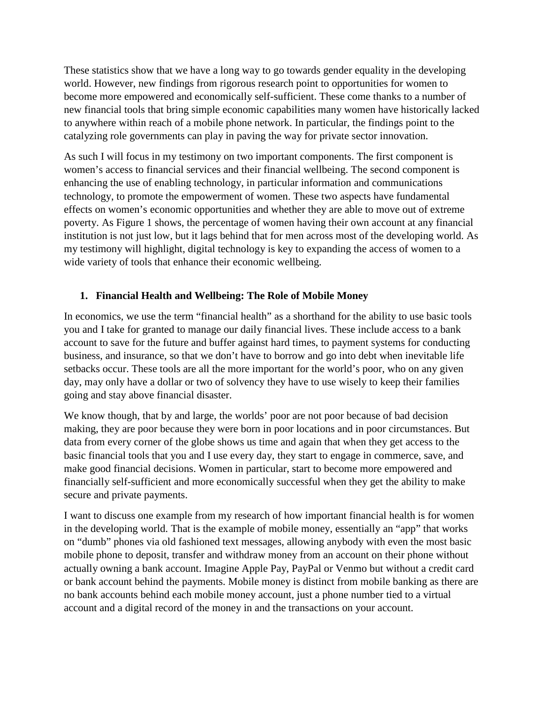These statistics show that we have a long way to go towards gender equality in the developing world. However, new findings from rigorous research point to opportunities for women to become more empowered and economically self-sufficient. These come thanks to a number of new financial tools that bring simple economic capabilities many women have historically lacked to anywhere within reach of a mobile phone network. In particular, the findings point to the catalyzing role governments can play in paving the way for private sector innovation.

As such I will focus in my testimony on two important components. The first component is women's access to financial services and their financial wellbeing. The second component is enhancing the use of enabling technology, in particular information and communications technology, to promote the empowerment of women. These two aspects have fundamental effects on women's economic opportunities and whether they are able to move out of extreme poverty. As Figure 1 shows, the percentage of women having their own account at any financial institution is not just low, but it lags behind that for men across most of the developing world. As my testimony will highlight, digital technology is key to expanding the access of women to a wide variety of tools that enhance their economic wellbeing.

# **1. Financial Health and Wellbeing: The Role of Mobile Money**

In economics, we use the term "financial health" as a shorthand for the ability to use basic tools you and I take for granted to manage our daily financial lives. These include access to a bank account to save for the future and buffer against hard times, to payment systems for conducting business, and insurance, so that we don't have to borrow and go into debt when inevitable life setbacks occur. These tools are all the more important for the world's poor, who on any given day, may only have a dollar or two of solvency they have to use wisely to keep their families going and stay above financial disaster.

We know though, that by and large, the worlds' poor are not poor because of bad decision making, they are poor because they were born in poor locations and in poor circumstances. But data from every corner of the globe shows us time and again that when they get access to the basic financial tools that you and I use every day, they start to engage in commerce, save, and make good financial decisions. Women in particular, start to become more empowered and financially self-sufficient and more economically successful when they get the ability to make secure and private payments.

I want to discuss one example from my research of how important financial health is for women in the developing world. That is the example of mobile money, essentially an "app" that works on "dumb" phones via old fashioned text messages, allowing anybody with even the most basic mobile phone to deposit, transfer and withdraw money from an account on their phone without actually owning a bank account. Imagine Apple Pay, PayPal or Venmo but without a credit card or bank account behind the payments. Mobile money is distinct from mobile banking as there are no bank accounts behind each mobile money account, just a phone number tied to a virtual account and a digital record of the money in and the transactions on your account.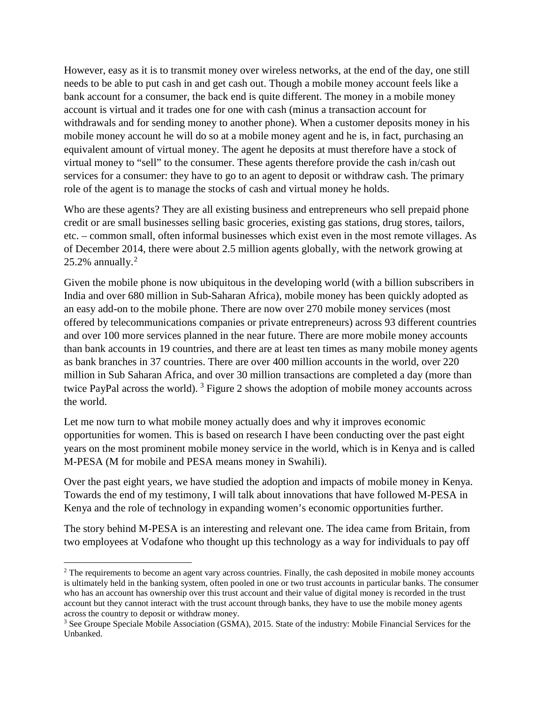However, easy as it is to transmit money over wireless networks, at the end of the day, one still needs to be able to put cash in and get cash out. Though a mobile money account feels like a bank account for a consumer, the back end is quite different. The money in a mobile money account is virtual and it trades one for one with cash (minus a transaction account for withdrawals and for sending money to another phone). When a customer deposits money in his mobile money account he will do so at a mobile money agent and he is, in fact, purchasing an equivalent amount of virtual money. The agent he deposits at must therefore have a stock of virtual money to "sell" to the consumer. These agents therefore provide the cash in/cash out services for a consumer: they have to go to an agent to deposit or withdraw cash. The primary role of the agent is to manage the stocks of cash and virtual money he holds.

Who are these agents? They are all existing business and entrepreneurs who sell prepaid phone credit or are small businesses selling basic groceries, existing gas stations, drug stores, tailors, etc. – common small, often informal businesses which exist even in the most remote villages. As of December 2014, there were about 2.5 million agents globally, with the network growing at  $25.2\%$  $25.2\%$  annually.<sup>2</sup>

Given the mobile phone is now ubiquitous in the developing world (with a billion subscribers in India and over 680 million in Sub-Saharan Africa), mobile money has been quickly adopted as an easy add-on to the mobile phone. There are now over 270 mobile money services (most offered by telecommunications companies or private entrepreneurs) across 93 different countries and over 100 more services planned in the near future. There are more mobile money accounts than bank accounts in 19 countries, and there are at least ten times as many mobile money agents as bank branches in 37 countries. There are over 400 million accounts in the world, over 220 million in Sub Saharan Africa, and over 30 million transactions are completed a day (more than twice PayPal across the world).  $3$  Figure 2 shows the adoption of mobile money accounts across the world.

Let me now turn to what mobile money actually does and why it improves economic opportunities for women. This is based on research I have been conducting over the past eight years on the most prominent mobile money service in the world, which is in Kenya and is called M-PESA (M for mobile and PESA means money in Swahili).

Over the past eight years, we have studied the adoption and impacts of mobile money in Kenya. Towards the end of my testimony, I will talk about innovations that have followed M-PESA in Kenya and the role of technology in expanding women's economic opportunities further.

The story behind M-PESA is an interesting and relevant one. The idea came from Britain, from two employees at Vodafone who thought up this technology as a way for individuals to pay off

<span id="page-2-0"></span><sup>&</sup>lt;sup>2</sup> The requirements to become an agent vary across countries. Finally, the cash deposited in mobile money accounts is ultimately held in the banking system, often pooled in one or two trust accounts in particular banks. The consumer who has an account has ownership over this trust account and their value of digital money is recorded in the trust account but they cannot interact with the trust account through banks, they have to use the mobile money agents across the country to deposit or withdraw money.

<span id="page-2-1"></span><sup>&</sup>lt;sup>3</sup> See Groupe Speciale Mobile Association (GSMA), 2015. State of the industry: Mobile Financial Services for the Unbanked.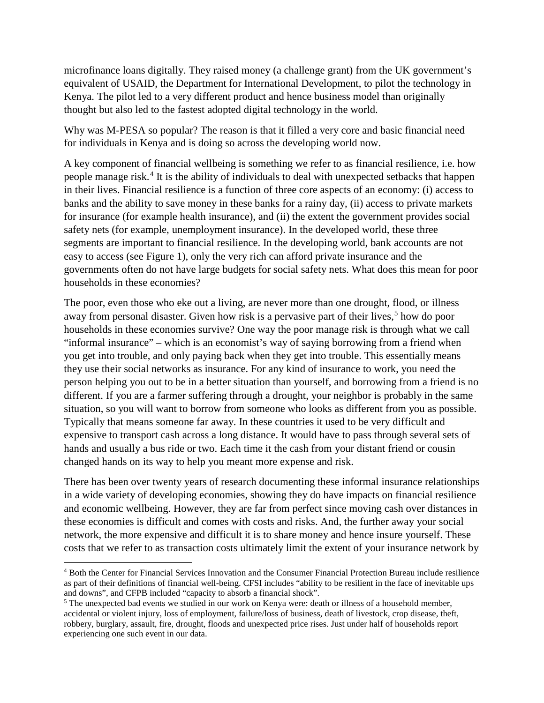microfinance loans digitally. They raised money (a challenge grant) from the UK government's equivalent of USAID, the Department for International Development, to pilot the technology in Kenya. The pilot led to a very different product and hence business model than originally thought but also led to the fastest adopted digital technology in the world.

Why was M-PESA so popular? The reason is that it filled a very core and basic financial need for individuals in Kenya and is doing so across the developing world now.

A key component of financial wellbeing is something we refer to as financial resilience, i.e. how people manage risk.<sup>[4](#page-3-0)</sup> It is the ability of individuals to deal with unexpected setbacks that happen in their lives. Financial resilience is a function of three core aspects of an economy: (i) access to banks and the ability to save money in these banks for a rainy day, (ii) access to private markets for insurance (for example health insurance), and (ii) the extent the government provides social safety nets (for example, unemployment insurance). In the developed world, these three segments are important to financial resilience. In the developing world, bank accounts are not easy to access (see Figure 1), only the very rich can afford private insurance and the governments often do not have large budgets for social safety nets. What does this mean for poor households in these economies?

The poor, even those who eke out a living, are never more than one drought, flood, or illness away from personal disaster. Given how risk is a pervasive part of their lives, [5](#page-3-1) how do poor households in these economies survive? One way the poor manage risk is through what we call "informal insurance" – which is an economist's way of saying borrowing from a friend when you get into trouble, and only paying back when they get into trouble. This essentially means they use their social networks as insurance. For any kind of insurance to work, you need the person helping you out to be in a better situation than yourself, and borrowing from a friend is no different. If you are a farmer suffering through a drought, your neighbor is probably in the same situation, so you will want to borrow from someone who looks as different from you as possible. Typically that means someone far away. In these countries it used to be very difficult and expensive to transport cash across a long distance. It would have to pass through several sets of hands and usually a bus ride or two. Each time it the cash from your distant friend or cousin changed hands on its way to help you meant more expense and risk.

There has been over twenty years of research documenting these informal insurance relationships in a wide variety of developing economies, showing they do have impacts on financial resilience and economic wellbeing. However, they are far from perfect since moving cash over distances in these economies is difficult and comes with costs and risks. And, the further away your social network, the more expensive and difficult it is to share money and hence insure yourself. These costs that we refer to as transaction costs ultimately limit the extent of your insurance network by

<span id="page-3-0"></span><sup>4</sup> Both the Center for Financial Services Innovation and the Consumer Financial Protection Bureau include resilience as part of their definitions of financial well-being. CFSI includes "ability to be resilient in the face of inevitable ups and downs", and CFPB included "capacity to absorb a financial shock".

<span id="page-3-1"></span> $3$  The unexpected bad events we studied in our work on Kenya were: death or illness of a household member, accidental or violent injury, loss of employment, failure/loss of business, death of livestock, crop disease, theft, robbery, burglary, assault, fire, drought, floods and unexpected price rises. Just under half of households report experiencing one such event in our data.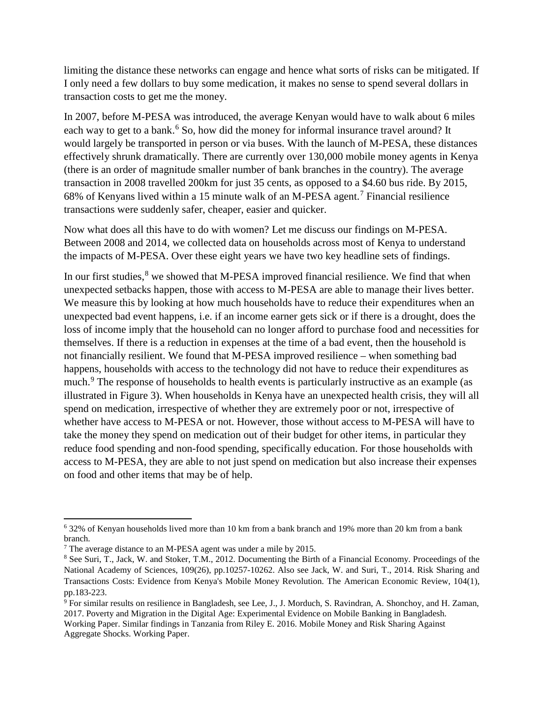limiting the distance these networks can engage and hence what sorts of risks can be mitigated. If I only need a few dollars to buy some medication, it makes no sense to spend several dollars in transaction costs to get me the money.

In 2007, before M-PESA was introduced, the average Kenyan would have to walk about 6 miles each way to get to a bank.<sup>[6](#page-4-0)</sup> So, how did the money for informal insurance travel around? It would largely be transported in person or via buses. With the launch of M-PESA, these distances effectively shrunk dramatically. There are currently over 130,000 mobile money agents in Kenya (there is an order of magnitude smaller number of bank branches in the country). The average transaction in 2008 travelled 200km for just 35 cents, as opposed to a \$4.60 bus ride. By 2015, 68% of Kenyans lived within a 15 minute walk of an M-PESA agent.[7](#page-4-1) Financial resilience transactions were suddenly safer, cheaper, easier and quicker.

Now what does all this have to do with women? Let me discuss our findings on M-PESA. Between 2008 and 2014, we collected data on households across most of Kenya to understand the impacts of M-PESA. Over these eight years we have two key headline sets of findings.

In our first studies,<sup>[8](#page-4-2)</sup> we showed that M-PESA improved financial resilience. We find that when unexpected setbacks happen, those with access to M-PESA are able to manage their lives better. We measure this by looking at how much households have to reduce their expenditures when an unexpected bad event happens, i.e. if an income earner gets sick or if there is a drought, does the loss of income imply that the household can no longer afford to purchase food and necessities for themselves. If there is a reduction in expenses at the time of a bad event, then the household is not financially resilient. We found that M-PESA improved resilience – when something bad happens, households with access to the technology did not have to reduce their expenditures as much.<sup>[9](#page-4-3)</sup> The response of households to health events is particularly instructive as an example (as illustrated in Figure 3). When households in Kenya have an unexpected health crisis, they will all spend on medication, irrespective of whether they are extremely poor or not, irrespective of whether have access to M-PESA or not. However, those without access to M-PESA will have to take the money they spend on medication out of their budget for other items, in particular they reduce food spending and non-food spending, specifically education. For those households with access to M-PESA, they are able to not just spend on medication but also increase their expenses on food and other items that may be of help.

<span id="page-4-0"></span> $\overline{\phantom{a}}$ <sup>6</sup> 32% of Kenyan households lived more than 10 km from a bank branch and 19% more than 20 km from a bank branch.

<span id="page-4-1"></span><sup>7</sup> The average distance to an M-PESA agent was under a mile by 2015.

<span id="page-4-2"></span><sup>8</sup> See Suri, T., Jack, W. and Stoker, T.M., 2012. Documenting the Birth of a Financial Economy. Proceedings of the National Academy of Sciences, 109(26), pp.10257-10262. Also see Jack, W. and Suri, T., 2014. Risk Sharing and Transactions Costs: Evidence from Kenya's Mobile Money Revolution. The American Economic Review, 104(1), pp.183-223.

<span id="page-4-3"></span><sup>&</sup>lt;sup>9</sup> For similar results on resilience in Bangladesh, see Lee, J., J. Morduch, S. Ravindran, A. Shonchoy, and H. Zaman, 2017. Poverty and Migration in the Digital Age: Experimental Evidence on Mobile Banking in Bangladesh. Working Paper. Similar findings in Tanzania from Riley E. 2016. Mobile Money and Risk Sharing Against Aggregate Shocks. Working Paper.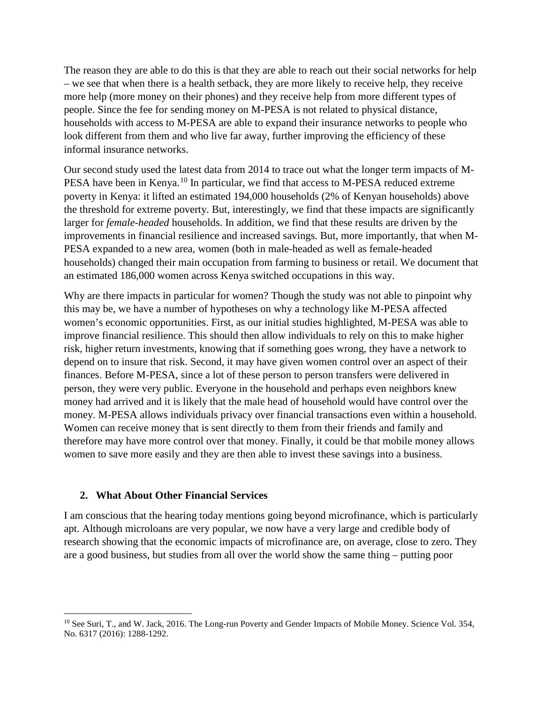The reason they are able to do this is that they are able to reach out their social networks for help – we see that when there is a health setback, they are more likely to receive help, they receive more help (more money on their phones) and they receive help from more different types of people. Since the fee for sending money on M-PESA is not related to physical distance, households with access to M-PESA are able to expand their insurance networks to people who look different from them and who live far away, further improving the efficiency of these informal insurance networks.

Our second study used the latest data from 2014 to trace out what the longer term impacts of M-PESA have been in Kenya.<sup>[10](#page-5-0)</sup> In particular, we find that access to M-PESA reduced extreme poverty in Kenya: it lifted an estimated 194,000 households (2% of Kenyan households) above the threshold for extreme poverty. But, interestingly, we find that these impacts are significantly larger for *female-headed* households. In addition, we find that these results are driven by the improvements in financial resilience and increased savings. But, more importantly, that when M-PESA expanded to a new area, women (both in male-headed as well as female-headed households) changed their main occupation from farming to business or retail. We document that an estimated 186,000 women across Kenya switched occupations in this way.

Why are there impacts in particular for women? Though the study was not able to pinpoint why this may be, we have a number of hypotheses on why a technology like M-PESA affected women's economic opportunities. First, as our initial studies highlighted, M-PESA was able to improve financial resilience. This should then allow individuals to rely on this to make higher risk, higher return investments, knowing that if something goes wrong, they have a network to depend on to insure that risk. Second, it may have given women control over an aspect of their finances. Before M-PESA, since a lot of these person to person transfers were delivered in person, they were very public. Everyone in the household and perhaps even neighbors knew money had arrived and it is likely that the male head of household would have control over the money. M-PESA allows individuals privacy over financial transactions even within a household. Women can receive money that is sent directly to them from their friends and family and therefore may have more control over that money. Finally, it could be that mobile money allows women to save more easily and they are then able to invest these savings into a business.

### **2. What About Other Financial Services**

l

I am conscious that the hearing today mentions going beyond microfinance, which is particularly apt. Although microloans are very popular, we now have a very large and credible body of research showing that the economic impacts of microfinance are, on average, close to zero. They are a good business, but studies from all over the world show the same thing – putting poor

<span id="page-5-0"></span><sup>&</sup>lt;sup>10</sup> See Suri, T., and W. Jack, 2016. The Long-run Poverty and Gender Impacts of Mobile Money. Science Vol. 354, No. 6317 (2016): 1288-1292.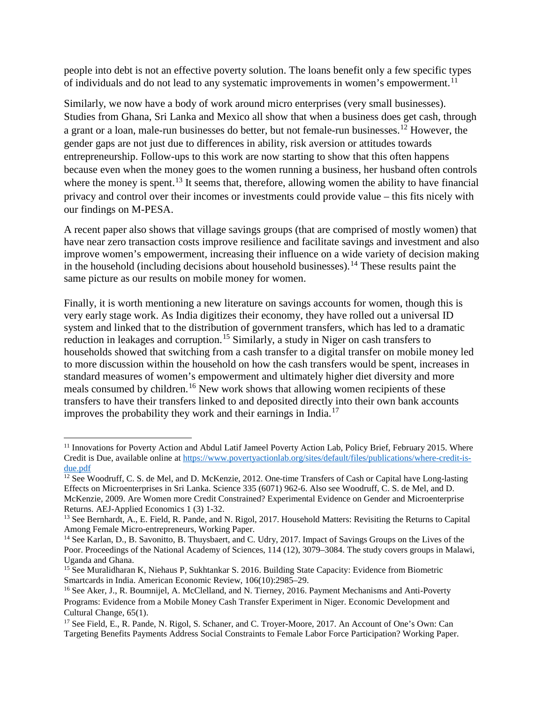people into debt is not an effective poverty solution. The loans benefit only a few specific types of individuals and do not lead to any systematic improvements in women's empowerment.<sup>[11](#page-6-0)</sup>

Similarly, we now have a body of work around micro enterprises (very small businesses). Studies from Ghana, Sri Lanka and Mexico all show that when a business does get cash, through a grant or a loan, male-run businesses do better, but not female-run businesses.[12](#page-6-1) However, the gender gaps are not just due to differences in ability, risk aversion or attitudes towards entrepreneurship. Follow-ups to this work are now starting to show that this often happens because even when the money goes to the women running a business, her husband often controls where the money is spent.<sup>[13](#page-6-2)</sup> It seems that, therefore, allowing women the ability to have financial privacy and control over their incomes or investments could provide value – this fits nicely with our findings on M-PESA.

A recent paper also shows that village savings groups (that are comprised of mostly women) that have near zero transaction costs improve resilience and facilitate savings and investment and also improve women's empowerment, increasing their influence on a wide variety of decision making in the household (including decisions about household businesses).<sup>[14](#page-6-3)</sup> These results paint the same picture as our results on mobile money for women.

Finally, it is worth mentioning a new literature on savings accounts for women, though this is very early stage work. As India digitizes their economy, they have rolled out a universal ID system and linked that to the distribution of government transfers, which has led to a dramatic reduction in leakages and corruption.<sup>[15](#page-6-4)</sup> Similarly, a study in Niger on cash transfers to households showed that switching from a cash transfer to a digital transfer on mobile money led to more discussion within the household on how the cash transfers would be spent, increases in standard measures of women's empowerment and ultimately higher diet diversity and more meals consumed by children.<sup>[16](#page-6-5)</sup> New work shows that allowing women recipients of these transfers to have their transfers linked to and deposited directly into their own bank accounts improves the probability they work and their earnings in India. [17](#page-6-6) 

<span id="page-6-0"></span><sup>&</sup>lt;sup>11</sup> Innovations for Poverty Action and Abdul Latif Jameel Poverty Action Lab, Policy Brief, February 2015. Where Credit is Due, available online at [https://www.povertyactionlab.org/sites/default/files/publications/where-credit-is](https://www.povertyactionlab.org/sites/default/files/publications/where-credit-is-due.pdf)[due.pdf](https://www.povertyactionlab.org/sites/default/files/publications/where-credit-is-due.pdf)

<span id="page-6-1"></span><sup>&</sup>lt;sup>12</sup> See Woodruff, C. S. de Mel, and D. McKenzie, 2012. One-time Transfers of Cash or Capital have Long-lasting Effects on Microenterprises in Sri Lanka. Science 335 (6071) 962-6. Also see Woodruff, C. S. de Mel, and D. McKenzie, 2009. Are Women more Credit Constrained? Experimental Evidence on Gender and Microenterprise Returns. AEJ-Applied Economics 1 (3) 1-32.

<span id="page-6-2"></span><sup>&</sup>lt;sup>13</sup> See Bernhardt, A., E. Field, R. Pande, and N. Rigol, 2017. Household Matters: Revisiting the Returns to Capital Among Female Micro-entrepreneurs, Working Paper.

<span id="page-6-3"></span><sup>&</sup>lt;sup>14</sup> See Karlan, D., B. Savonitto, B. Thuysbaert, and C. Udry, 2017. Impact of Savings Groups on the Lives of the Poor. Proceedings of the National Academy of Sciences, 114 (12), 3079–3084. The study covers groups in Malawi, Uganda and Ghana.

<span id="page-6-4"></span><sup>&</sup>lt;sup>15</sup> See Muralidharan K, Niehaus P, Sukhtankar S. 2016. Building State Capacity: Evidence from Biometric Smartcards in India. American Economic Review, 106(10):2985–29.

<span id="page-6-5"></span><sup>&</sup>lt;sup>16</sup> See Aker, J., R. Boumnijel, A. McClelland, and N. Tierney, 2016. Payment Mechanisms and Anti-Poverty Programs: Evidence from a Mobile Money Cash Transfer Experiment in Niger. Economic Development and Cultural Change, 65(1).

<span id="page-6-6"></span><sup>&</sup>lt;sup>17</sup> See Field, E., R. Pande, N. Rigol, S. Schaner, and C. Troyer-Moore, 2017. An Account of One's Own: Can Targeting Benefits Payments Address Social Constraints to Female Labor Force Participation? Working Paper.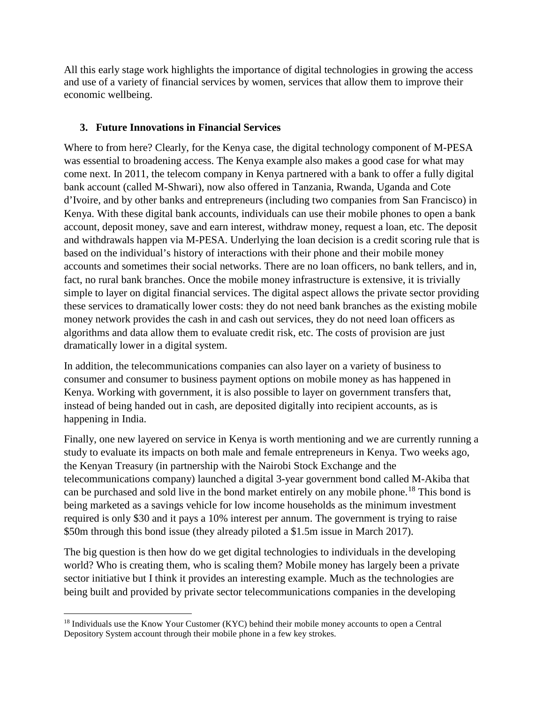All this early stage work highlights the importance of digital technologies in growing the access and use of a variety of financial services by women, services that allow them to improve their economic wellbeing.

## **3. Future Innovations in Financial Services**

Where to from here? Clearly, for the Kenya case, the digital technology component of M-PESA was essential to broadening access. The Kenya example also makes a good case for what may come next. In 2011, the telecom company in Kenya partnered with a bank to offer a fully digital bank account (called M-Shwari), now also offered in Tanzania, Rwanda, Uganda and Cote d'Ivoire, and by other banks and entrepreneurs (including two companies from San Francisco) in Kenya. With these digital bank accounts, individuals can use their mobile phones to open a bank account, deposit money, save and earn interest, withdraw money, request a loan, etc. The deposit and withdrawals happen via M-PESA. Underlying the loan decision is a credit scoring rule that is based on the individual's history of interactions with their phone and their mobile money accounts and sometimes their social networks. There are no loan officers, no bank tellers, and in, fact, no rural bank branches. Once the mobile money infrastructure is extensive, it is trivially simple to layer on digital financial services. The digital aspect allows the private sector providing these services to dramatically lower costs: they do not need bank branches as the existing mobile money network provides the cash in and cash out services, they do not need loan officers as algorithms and data allow them to evaluate credit risk, etc. The costs of provision are just dramatically lower in a digital system.

In addition, the telecommunications companies can also layer on a variety of business to consumer and consumer to business payment options on mobile money as has happened in Kenya. Working with government, it is also possible to layer on government transfers that, instead of being handed out in cash, are deposited digitally into recipient accounts, as is happening in India.

Finally, one new layered on service in Kenya is worth mentioning and we are currently running a study to evaluate its impacts on both male and female entrepreneurs in Kenya. Two weeks ago, the Kenyan Treasury (in partnership with the Nairobi Stock Exchange and the telecommunications company) launched a digital 3-year government bond called M-Akiba that can be purchased and sold live in the bond market entirely on any mobile phone. [18](#page-7-0) This bond is being marketed as a savings vehicle for low income households as the minimum investment required is only \$30 and it pays a 10% interest per annum. The government is trying to raise \$50m through this bond issue (they already piloted a \$1.5m issue in March 2017).

The big question is then how do we get digital technologies to individuals in the developing world? Who is creating them, who is scaling them? Mobile money has largely been a private sector initiative but I think it provides an interesting example. Much as the technologies are being built and provided by private sector telecommunications companies in the developing

<span id="page-7-0"></span>l <sup>18</sup> Individuals use the Know Your Customer (KYC) behind their mobile money accounts to open a Central Depository System account through their mobile phone in a few key strokes.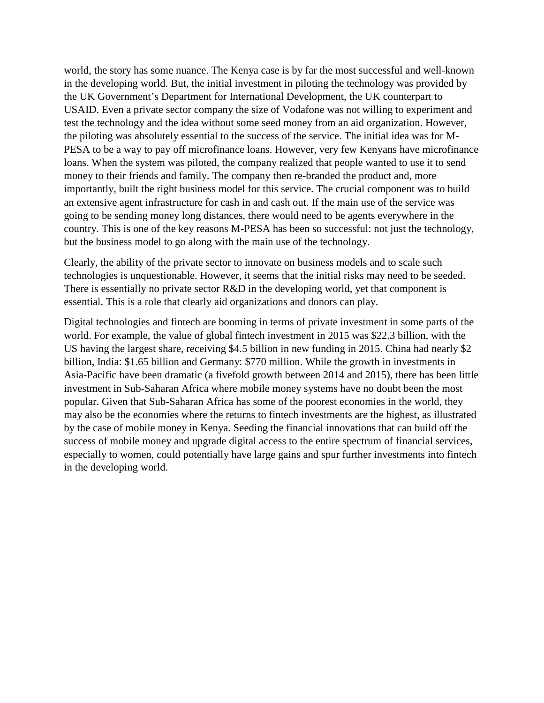world, the story has some nuance. The Kenya case is by far the most successful and well-known in the developing world. But, the initial investment in piloting the technology was provided by the UK Government's Department for International Development, the UK counterpart to USAID. Even a private sector company the size of Vodafone was not willing to experiment and test the technology and the idea without some seed money from an aid organization. However, the piloting was absolutely essential to the success of the service. The initial idea was for M-PESA to be a way to pay off microfinance loans. However, very few Kenyans have microfinance loans. When the system was piloted, the company realized that people wanted to use it to send money to their friends and family. The company then re-branded the product and, more importantly, built the right business model for this service. The crucial component was to build an extensive agent infrastructure for cash in and cash out. If the main use of the service was going to be sending money long distances, there would need to be agents everywhere in the country. This is one of the key reasons M-PESA has been so successful: not just the technology, but the business model to go along with the main use of the technology.

Clearly, the ability of the private sector to innovate on business models and to scale such technologies is unquestionable. However, it seems that the initial risks may need to be seeded. There is essentially no private sector R&D in the developing world, yet that component is essential. This is a role that clearly aid organizations and donors can play.

Digital technologies and fintech are booming in terms of private investment in some parts of the world. For example, the value of global fintech investment in 2015 was \$22.3 billion, with the US having the largest share, receiving \$4.5 billion in new funding in 2015. China had nearly \$2 billion, India: \$1.65 billion and Germany: \$770 million. While the growth in investments in Asia-Pacific have been dramatic (a fivefold growth between 2014 and 2015), there has been little investment in Sub-Saharan Africa where mobile money systems have no doubt been the most popular. Given that Sub-Saharan Africa has some of the poorest economies in the world, they may also be the economies where the returns to fintech investments are the highest, as illustrated by the case of mobile money in Kenya. Seeding the financial innovations that can build off the success of mobile money and upgrade digital access to the entire spectrum of financial services, especially to women, could potentially have large gains and spur further investments into fintech in the developing world.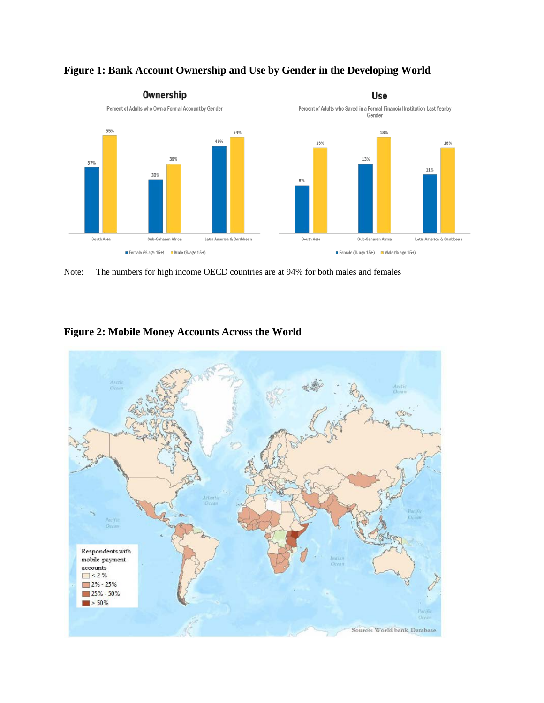

## **Figure 1: Bank Account Ownership and Use by Gender in the Developing World**

Note: The numbers for high income OECD countries are at 94% for both males and females